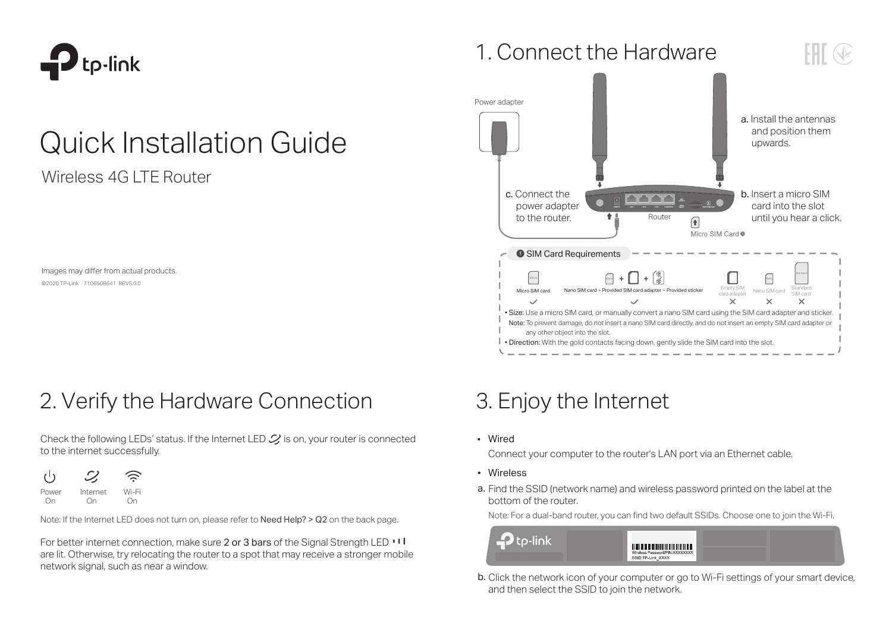

# Quick Installation Guide

Wireless 4G LTE Router

Images may differ from actual products. ©2020 TP-Link 7106508641 REV5.0.0

2. Verify the Hardware Connection 3. Enjoy the Internet

Check the following LEDs' status. If the Internet LED  $\mathcal{L}$  is on, your router is connected to the internet successfully.



Note: If the Internet LED does not turn on, please refer to Need Help? > Q2 on the back page.

For better internet connection, make sure 2 or 3 bars of the Signal Strength LED  $\cdot\cdot\cdot$ are lit. Otherwise, try relocating the router to a spot that may receive a stronger mobile network signal, such as near a window.





Wired

Connect your computer to the router's LAN port via an Ethernet cable.

- Wireless
- a. Find the SSID (network name) and wireless password printed on the label at the bottom of the router.

Note: For a dual-band router, you can find two default SSIDs. Choose one to join the Wi-Fi.



**b.** Click the network icon of your computer or go to Wi-Fi settings of your smart device, and then select the SSID to join the network.